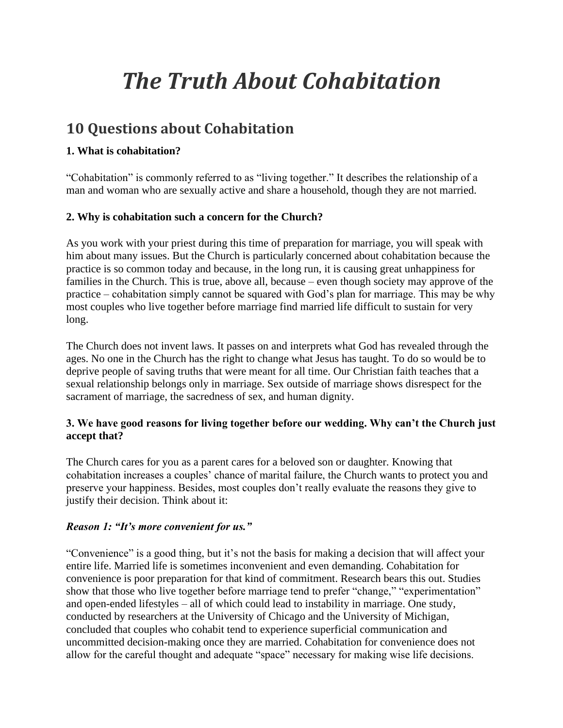# *The Truth About Cohabitation*

## **10 Questions about Cohabitation**

### **1. What is cohabitation?**

"Cohabitation" is commonly referred to as "living together." It describes the relationship of a man and woman who are sexually active and share a household, though they are not married.

#### **2. Why is cohabitation such a concern for the Church?**

As you work with your priest during this time of preparation for marriage, you will speak with him about many issues. But the Church is particularly concerned about cohabitation because the practice is so common today and because, in the long run, it is causing great unhappiness for families in the Church. This is true, above all, because – even though society may approve of the practice – cohabitation simply cannot be squared with God's plan for marriage. This may be why most couples who live together before marriage find married life difficult to sustain for very long.

The Church does not invent laws. It passes on and interprets what God has revealed through the ages. No one in the Church has the right to change what Jesus has taught. To do so would be to deprive people of saving truths that were meant for all time. Our Christian faith teaches that a sexual relationship belongs only in marriage. Sex outside of marriage shows disrespect for the sacrament of marriage, the sacredness of sex, and human dignity.

#### **3. We have good reasons for living together before our wedding. Why can't the Church just accept that?**

The Church cares for you as a parent cares for a beloved son or daughter. Knowing that cohabitation increases a couples' chance of marital failure, the Church wants to protect you and preserve your happiness. Besides, most couples don't really evaluate the reasons they give to justify their decision. Think about it:

#### *Reason 1: "It's more convenient for us."*

"Convenience" is a good thing, but it's not the basis for making a decision that will affect your entire life. Married life is sometimes inconvenient and even demanding. Cohabitation for convenience is poor preparation for that kind of commitment. Research bears this out. Studies show that those who live together before marriage tend to prefer "change," "experimentation" and open-ended lifestyles – all of which could lead to instability in marriage. One study, conducted by researchers at the University of Chicago and the University of Michigan, concluded that couples who cohabit tend to experience superficial communication and uncommitted decision-making once they are married. Cohabitation for convenience does not allow for the careful thought and adequate "space" necessary for making wise life decisions.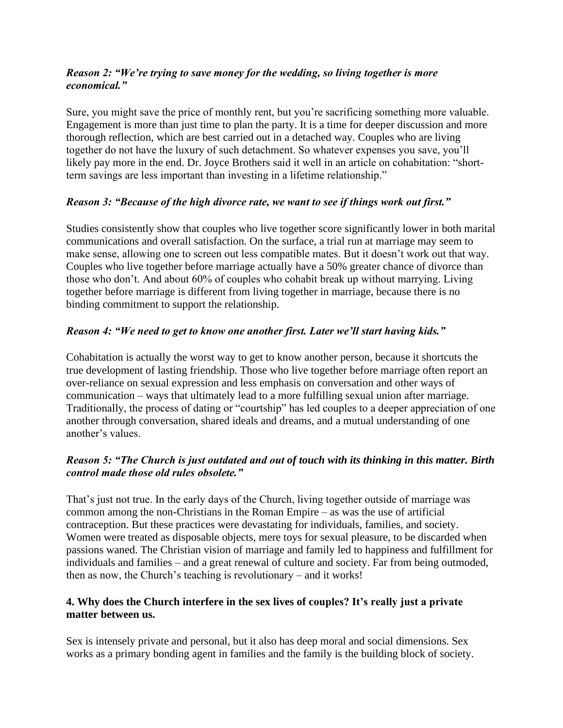#### *Reason 2: "We're trying to save money for the wedding, so living together is more economical."*

Sure, you might save the price of monthly rent, but you're sacrificing something more valuable. Engagement is more than just time to plan the party. It is a time for deeper discussion and more thorough reflection, which are best carried out in a detached way. Couples who are living together do not have the luxury of such detachment. So whatever expenses you save, you'll likely pay more in the end. Dr. Joyce Brothers said it well in an article on cohabitation: "shortterm savings are less important than investing in a lifetime relationship."

#### *Reason 3: "Because of the high divorce rate, we want to see if things work out first."*

Studies consistently show that couples who live together score significantly lower in both marital communications and overall satisfaction. On the surface, a trial run at marriage may seem to make sense, allowing one to screen out less compatible mates. But it doesn't work out that way. Couples who live together before marriage actually have a 50% greater chance of divorce than those who don't. And about 60% of couples who cohabit break up without marrying. Living together before marriage is different from living together in marriage, because there is no binding commitment to support the relationship.

#### *Reason 4: "We need to get to know one another first. Later we'll start having kids."*

Cohabitation is actually the worst way to get to know another person, because it shortcuts the true development of lasting friendship. Those who live together before marriage often report an over-reliance on sexual expression and less emphasis on conversation and other ways of communication – ways that ultimately lead to a more fulfilling sexual union after marriage. Traditionally, the process of dating or "courtship" has led couples to a deeper appreciation of one another through conversation, shared ideals and dreams, and a mutual understanding of one another's values.

#### *Reason 5: "The Church is just outdated and out of touch with its thinking in this matter. Birth control made those old rules obsolete."*

That's just not true. In the early days of the Church, living together outside of marriage was common among the non-Christians in the Roman Empire – as was the use of artificial contraception. But these practices were devastating for individuals, families, and society. Women were treated as disposable objects, mere toys for sexual pleasure, to be discarded when passions waned. The Christian vision of marriage and family led to happiness and fulfillment for individuals and families – and a great renewal of culture and society. Far from being outmoded, then as now, the Church's teaching is revolutionary – and it works!

#### **4. Why does the Church interfere in the sex lives of couples? It's really just a private matter between us.**

Sex is intensely private and personal, but it also has deep moral and social dimensions. Sex works as a primary bonding agent in families and the family is the building block of society.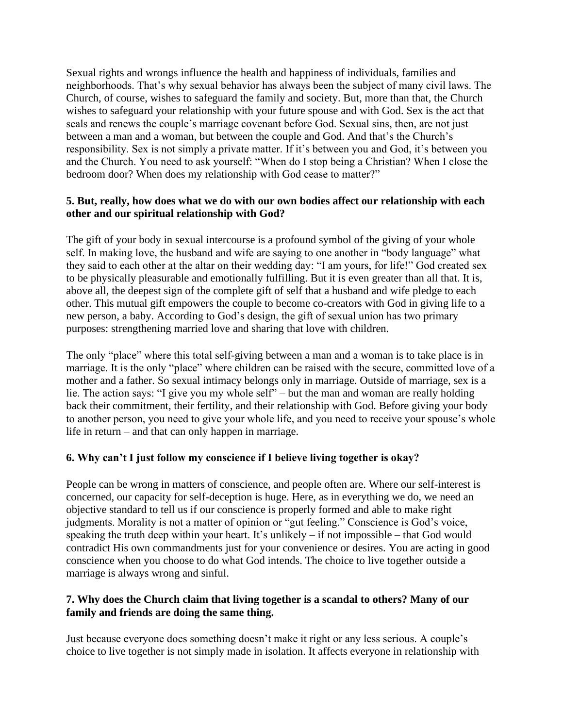Sexual rights and wrongs influence the health and happiness of individuals, families and neighborhoods. That's why sexual behavior has always been the subject of many civil laws. The Church, of course, wishes to safeguard the family and society. But, more than that, the Church wishes to safeguard your relationship with your future spouse and with God. Sex is the act that seals and renews the couple's marriage covenant before God. Sexual sins, then, are not just between a man and a woman, but between the couple and God. And that's the Church's responsibility. Sex is not simply a private matter. If it's between you and God, it's between you and the Church. You need to ask yourself: "When do I stop being a Christian? When I close the bedroom door? When does my relationship with God cease to matter?"

#### **5. But, really, how does what we do with our own bodies affect our relationship with each other and our spiritual relationship with God?**

The gift of your body in sexual intercourse is a profound symbol of the giving of your whole self. In making love, the husband and wife are saying to one another in "body language" what they said to each other at the altar on their wedding day: "I am yours, for life!" God created sex to be physically pleasurable and emotionally fulfilling. But it is even greater than all that. It is, above all, the deepest sign of the complete gift of self that a husband and wife pledge to each other. This mutual gift empowers the couple to become co-creators with God in giving life to a new person, a baby. According to God's design, the gift of sexual union has two primary purposes: strengthening married love and sharing that love with children.

The only "place" where this total self-giving between a man and a woman is to take place is in marriage. It is the only "place" where children can be raised with the secure, committed love of a mother and a father. So sexual intimacy belongs only in marriage. Outside of marriage, sex is a lie. The action says: "I give you my whole self" – but the man and woman are really holding back their commitment, their fertility, and their relationship with God. Before giving your body to another person, you need to give your whole life, and you need to receive your spouse's whole life in return – and that can only happen in marriage.

#### **6. Why can't I just follow my conscience if I believe living together is okay?**

People can be wrong in matters of conscience, and people often are. Where our self-interest is concerned, our capacity for self-deception is huge. Here, as in everything we do, we need an objective standard to tell us if our conscience is properly formed and able to make right judgments. Morality is not a matter of opinion or "gut feeling." Conscience is God's voice, speaking the truth deep within your heart. It's unlikely – if not impossible – that God would contradict His own commandments just for your convenience or desires. You are acting in good conscience when you choose to do what God intends. The choice to live together outside a marriage is always wrong and sinful.

#### **7. Why does the Church claim that living together is a scandal to others? Many of our family and friends are doing the same thing.**

Just because everyone does something doesn't make it right or any less serious. A couple's choice to live together is not simply made in isolation. It affects everyone in relationship with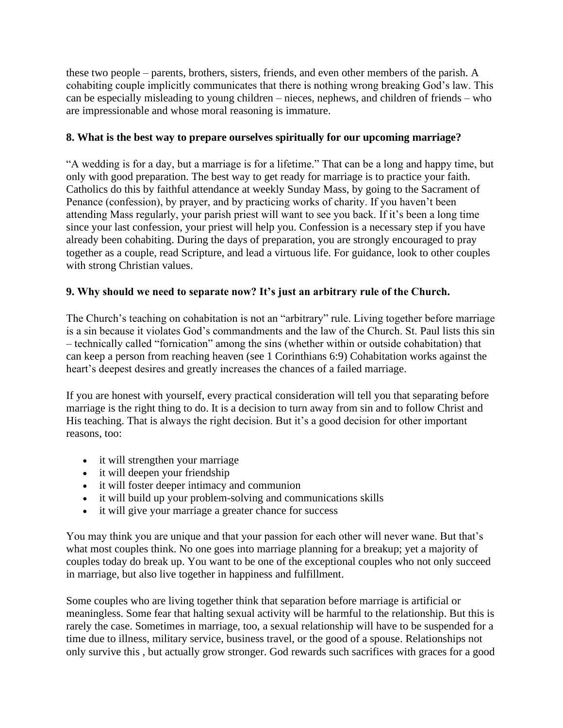these two people – parents, brothers, sisters, friends, and even other members of the parish. A cohabiting couple implicitly communicates that there is nothing wrong breaking God's law. This can be especially misleading to young children – nieces, nephews, and children of friends – who are impressionable and whose moral reasoning is immature.

#### **8. What is the best way to prepare ourselves spiritually for our upcoming marriage?**

"A wedding is for a day, but a marriage is for a lifetime." That can be a long and happy time, but only with good preparation. The best way to get ready for marriage is to practice your faith. Catholics do this by faithful attendance at weekly Sunday Mass, by going to the Sacrament of Penance (confession), by prayer, and by practicing works of charity. If you haven't been attending Mass regularly, your parish priest will want to see you back. If it's been a long time since your last confession, your priest will help you. Confession is a necessary step if you have already been cohabiting. During the days of preparation, you are strongly encouraged to pray together as a couple, read Scripture, and lead a virtuous life. For guidance, look to other couples with strong Christian values.

#### **9. Why should we need to separate now? It's just an arbitrary rule of the Church.**

The Church's teaching on cohabitation is not an "arbitrary" rule. Living together before marriage is a sin because it violates God's commandments and the law of the Church. St. Paul lists this sin – technically called "fornication" among the sins (whether within or outside cohabitation) that can keep a person from reaching heaven (see 1 Corinthians 6:9) Cohabitation works against the heart's deepest desires and greatly increases the chances of a failed marriage.

If you are honest with yourself, every practical consideration will tell you that separating before marriage is the right thing to do. It is a decision to turn away from sin and to follow Christ and His teaching. That is always the right decision. But it's a good decision for other important reasons, too:

- it will strengthen your marriage
- it will deepen your friendship
- it will foster deeper intimacy and communion
- it will build up your problem-solving and communications skills
- it will give your marriage a greater chance for success

You may think you are unique and that your passion for each other will never wane. But that's what most couples think. No one goes into marriage planning for a breakup; yet a majority of couples today do break up. You want to be one of the exceptional couples who not only succeed in marriage, but also live together in happiness and fulfillment.

Some couples who are living together think that separation before marriage is artificial or meaningless. Some fear that halting sexual activity will be harmful to the relationship. But this is rarely the case. Sometimes in marriage, too, a sexual relationship will have to be suspended for a time due to illness, military service, business travel, or the good of a spouse. Relationships not only survive this , but actually grow stronger. God rewards such sacrifices with graces for a good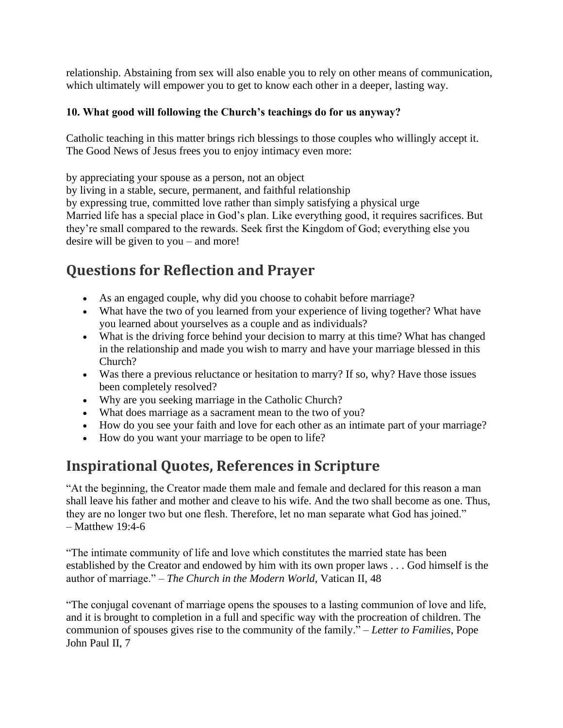relationship. Abstaining from sex will also enable you to rely on other means of communication, which ultimately will empower you to get to know each other in a deeper, lasting way.

#### **10. What good will following the Church's teachings do for us anyway?**

Catholic teaching in this matter brings rich blessings to those couples who willingly accept it. The Good News of Jesus frees you to enjoy intimacy even more:

by appreciating your spouse as a person, not an object

by living in a stable, secure, permanent, and faithful relationship

by expressing true, committed love rather than simply satisfying a physical urge

Married life has a special place in God's plan. Like everything good, it requires sacrifices. But they're small compared to the rewards. Seek first the Kingdom of God; everything else you desire will be given to you – and more!

## **Questions for Reflection and Prayer**

- As an engaged couple, why did you choose to cohabit before marriage?
- What have the two of you learned from your experience of living together? What have you learned about yourselves as a couple and as individuals?
- What is the driving force behind your decision to marry at this time? What has changed in the relationship and made you wish to marry and have your marriage blessed in this Church?
- Was there a previous reluctance or hesitation to marry? If so, why? Have those issues been completely resolved?
- Why are you seeking marriage in the Catholic Church?
- What does marriage as a sacrament mean to the two of you?
- How do you see your faith and love for each other as an intimate part of your marriage?
- How do you want your marriage to be open to life?

## **Inspirational Quotes, References in Scripture**

"At the beginning, the Creator made them male and female and declared for this reason a man shall leave his father and mother and cleave to his wife. And the two shall become as one. Thus, they are no longer two but one flesh. Therefore, let no man separate what God has joined." – Matthew 19:4-6

"The intimate community of life and love which constitutes the married state has been established by the Creator and endowed by him with its own proper laws . . . God himself is the author of marriage." – *The Church in the Modern World*, Vatican II, 48

"The conjugal covenant of marriage opens the spouses to a lasting communion of love and life, and it is brought to completion in a full and specific way with the procreation of children. The communion of spouses gives rise to the community of the family." – *Letter to Families*, Pope John Paul II, 7